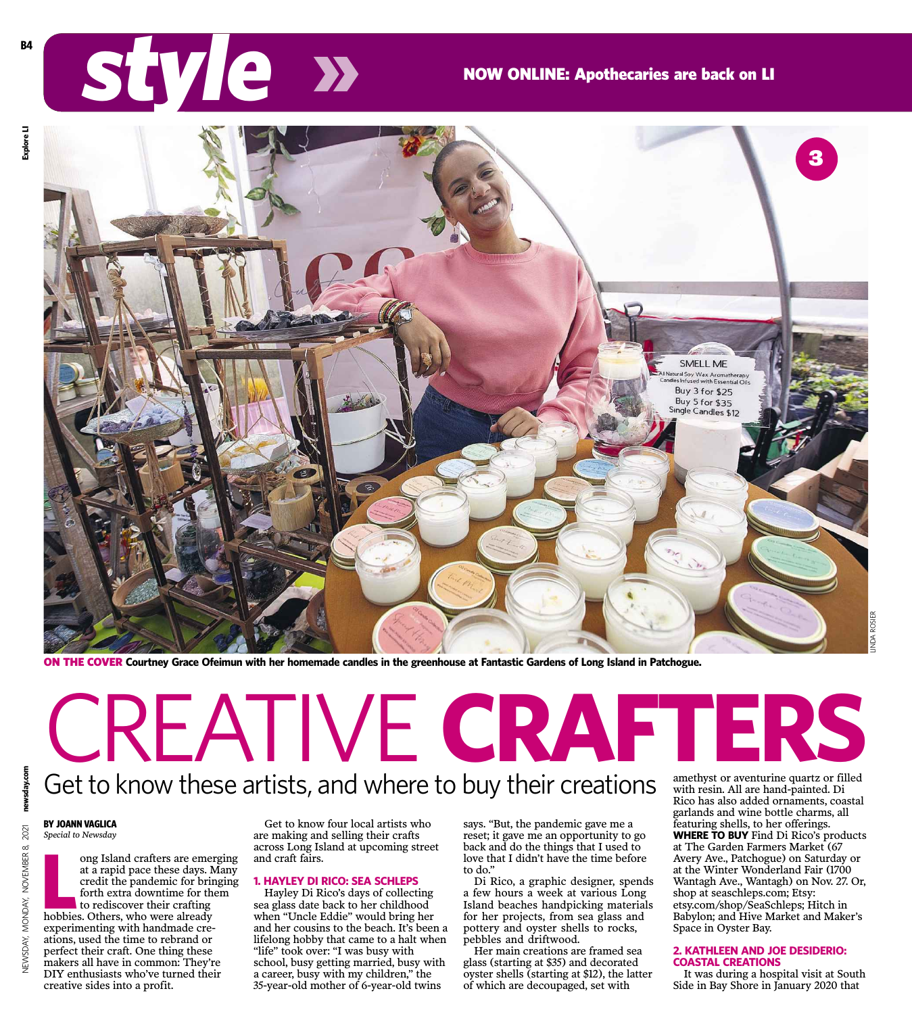# **STEVICE XX** NOW ONLINE: Apothecaries are back on LI



**B4**



ON THE COVER **Courtney Grace Ofeimun with her homemade candles in the greenhouse at Fantastic Gardens of Long Island in Patchogue.**

newsday.com NEWSDAY, MONDAY, NOVEMBER 8, 2021 **newsday.co** 2021 MONDAY, NOVEMBER 8, **JEWSDAY,** 

Get to know these artists, and where to buy their creations CREATIVE **CRAFTERS**

## **BY JOANN VAGLICA**

*Special to Newsday*

ong Island crafters are emerged at a rapid pace these days. I credit the pandemic for brition for the to rediscover their crafting hobbies. Others, who were already ong Island crafters are emerging at a rapid pace these days. Many credit the pandemic for bringing forth extra downtime for them to rediscover their crafting experimenting with handmade creations, used the time to rebrand or perfect their craft. One thing these makers all have in common: They're DIY enthusiasts who've turned their creative sides into a profit.

Get to know four local artists who are making and selling their crafts across Long Island at upcoming street and craft fairs.

### **1. HAYLEY DI RICO: SEA SCHLEPS**

Hayley Di Rico's days of collecting sea glass date back to her childhood when "Uncle Eddie" would bring her and her cousins to the beach. It's been a lifelong hobby that came to a halt when "life" took over: "I was busy with school, busy getting married, busy with a career, busy with my children," the 35-year-old mother of 6-year-old twins

says. "But, the pandemic gave me a reset; it gave me an opportunity to go back and do the things that I used to love that I didn't have the time before to do."

Di Rico, a graphic designer, spends a few hours a week at various Long Island beaches handpicking materials for her projects, from sea glass and pottery and oyster shells to rocks, pebbles and driftwood.

Her main creations are framed sea glass (starting at \$35) and decorated oyster shells (starting at \$12), the latter of which are decoupaged, set with

amethyst or aventurine quartz or filled with resin. All are hand-painted. Di Rico has also added ornaments, coastal garlands and wine bottle charms, all featuring shells, to her offerings. **WHERE TO BUY** Find Di Rico's products at The Garden Farmers Market (67 Avery Ave., Patchogue) on Saturday or at the Winter Wonderland Fair (1700 Wantagh Ave., Wantagh) on Nov. 27. Or, shop at seaschleps.com; Etsy: etsy.com/shop/SeaSchleps; Hitch in Babylon; and Hive Market and Maker's Space in Oyster Bay.

#### **2. KATHLEEN AND JOE DESIDERIO: COASTAL CREATIONS**

It was during a hospital visit at South Side in Bay Shore in January 2020 that